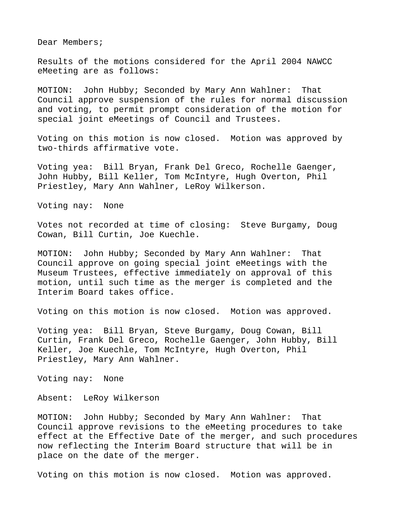Dear Members;

Results of the motions considered for the April 2004 NAWCC eMeeting are as follows:

MOTION: John Hubby; Seconded by Mary Ann Wahlner: That Council approve suspension of the rules for normal discussion and voting, to permit prompt consideration of the motion for special joint eMeetings of Council and Trustees.

Voting on this motion is now closed. Motion was approved by two-thirds affirmative vote.

Voting yea: Bill Bryan, Frank Del Greco, Rochelle Gaenger, John Hubby, Bill Keller, Tom McIntyre, Hugh Overton, Phil Priestley, Mary Ann Wahlner, LeRoy Wilkerson.

Voting nay: None

Votes not recorded at time of closing: Steve Burgamy, Doug Cowan, Bill Curtin, Joe Kuechle.

MOTION: John Hubby; Seconded by Mary Ann Wahlner: That Council approve on going special joint eMeetings with the Museum Trustees, effective immediately on approval of this motion, until such time as the merger is completed and the Interim Board takes office.

Voting on this motion is now closed. Motion was approved.

Voting yea: Bill Bryan, Steve Burgamy, Doug Cowan, Bill Curtin, Frank Del Greco, Rochelle Gaenger, John Hubby, Bill Keller, Joe Kuechle, Tom McIntyre, Hugh Overton, Phil Priestley, Mary Ann Wahlner.

Voting nay: None

Absent: LeRoy Wilkerson

MOTION: John Hubby; Seconded by Mary Ann Wahlner: That Council approve revisions to the eMeeting procedures to take effect at the Effective Date of the merger, and such procedures now reflecting the Interim Board structure that will be in place on the date of the merger.

Voting on this motion is now closed. Motion was approved.